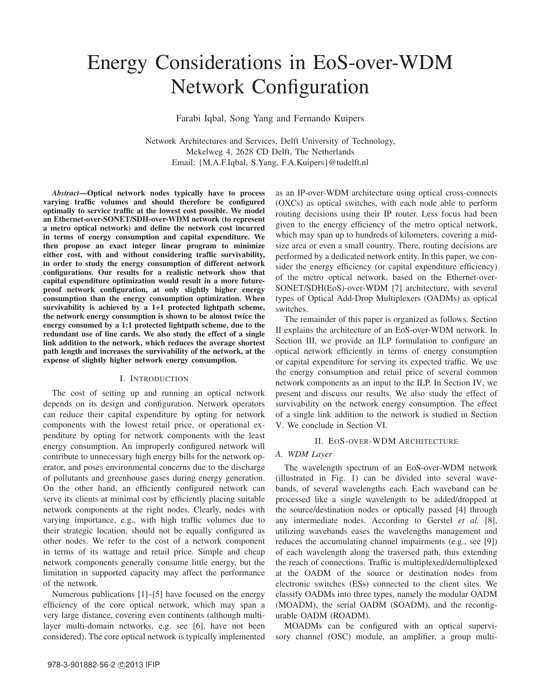# Energy Considerations in EoS-over-WDM Network Configuration

Farabi Iqbal, Song Yang and Fernando Kuipers

Network Architectures and Services, Delft University of Technology, Mekelweg 4, 2628 CD Delft, The Netherlands Email: {M.A.F.Iqbal, S.Yang, F.A.Kuipers}@tudelft.nl

*Abstract*—Optical network nodes typically have to process varying traffic volumes and should therefore be configured optimally to service traffic at the lowest cost possible. We model an Ethernet-over-SONET/SDH-over-WDM network (to represent a metro optical network) and define the network cost incurred in terms of energy consumption and capital expenditure. We then propose an exact integer linear program to minimize either cost, with and without considering traffic survivability, in order to study the energy consumption of different network configurations. Our results for a realistic network show that capital expenditure optimization would result in a more futureproof network configuration, at only slightly higher energy consumption than the energy consumption optimization. When survivability is achieved by a 1+1 protected lightpath scheme, the network energy consumption is shown to be almost twice the energy consumed by a 1:1 protected lightpath scheme, due to the redundant use of line cards. We also study the effect of a single link addition to the network, which reduces the average shortest path length and increases the survivability of the network, at the expense of slightly higher network energy consumption.

# I. INTRODUCTION

The cost of setting up and running an optical network depends on its design and configuration. Network operators can reduce their capital expenditure by opting for network components with the lowest retail price, or operational expenditure by opting for network components with the least energy consumption. An improperly configured network will contribute to unnecessary high energy bills for the network operator, and poses environmental concerns due to the discharge of pollutants and greenhouse gases during energy generation. On the other hand, an efficiently configured network can serve its clients at minimal cost by efficiently placing suitable network components at the right nodes. Clearly, nodes with varying importance, e.g., with high traffic volumes due to their strategic location, should not be equally configured as other nodes. We refer to the cost of a network component in terms of its wattage and retail price. Simple and cheap network components generally consume little energy, but the limitation in supported capacity may affect the performance of the network.

Numerous publications [1]–[5] have focused on the energy efficiency of the core optical network, which may span a very large distance, covering even continents (although multilayer multi-domain networks, e.g. see [6], have not been considered). The core optical network is typically implemented as an IP-over-WDM architecture using optical cross-connects (OXCs) as optical switches, with each node able to perform routing decisions using their IP router. Less focus had been given to the energy efficiency of the metro optical network, which may span up to hundreds of kilometers, covering a midsize area or even a small country. There, routing decisions are performed by a dedicated network entity. In this paper, we consider the energy efficiency (or capital expenditure efficiency) of the metro optical network, based on the Ethernet-over-SONET/SDH(EoS)-over-WDM [7] architecture, with several types of Optical Add-Drop Multiplexers (OADMs) as optical switches.

The remainder of this paper is organized as follows. Section II explains the architecture of an EoS-over-WDM network. In Section III, we provide an ILP formulation to configure an optical network efficiently in terms of energy consumption or capital expenditure for serving its expected traffic. We use the energy consumption and retail price of several common network components as an input to the ILP. In Section IV, we present and discuss our results. We also study the effect of survivability on the network energy consumption. The effect of a single link addition to the network is studied in Section V. We conclude in Section VI.

# II. EOS-OVER-WDM ARCHITECTURE

# *A. WDM Layer*

The wavelength spectrum of an EoS-over-WDM network (illustrated in Fig. 1) can be divided into several wavebands, of several wavelengths each. Each waveband can be processed like a single wavelength to be added/dropped at the source/destination nodes or optically passed [4] through any intermediate nodes. According to Gerstel *et al.* [8], utilizing wavebands eases the wavelengths management and reduces the accumulating channel impairments (e.g., see [9]) of each wavelength along the traversed path, thus extending the reach of connections. Traffic is multiplexed/demultiplexed at the OADM of the source or destination nodes from electronic switches (ESs) connected to the client sites. We classify OADMs into three types, namely the modular OADM (MOADM), the serial OADM (SOADM), and the reconfigurable OADM (ROADM).

MOADMs can be configured with an optical supervisory channel (OSC) module, an amplifier, a group multi-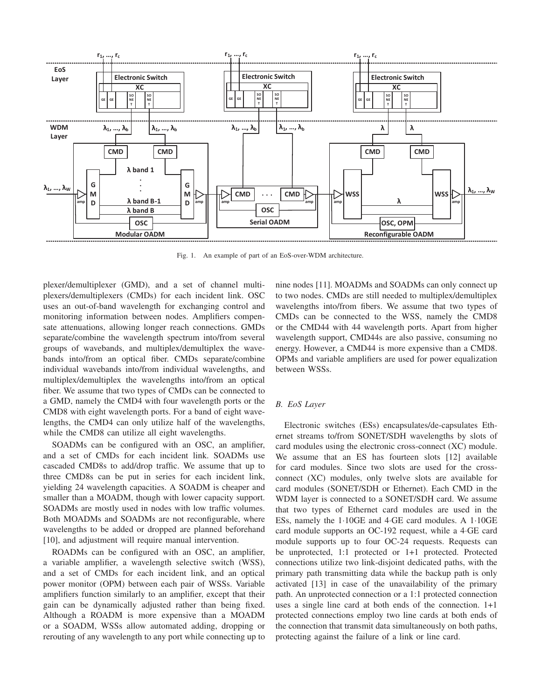

Fig. 1. An example of part of an EoS-over-WDM architecture.

plexer/demultiplexer (GMD), and a set of channel multiplexers/demultiplexers (CMDs) for each incident link. OSC uses an out-of-band wavelength for exchanging control and monitoring information between nodes. Amplifiers compensate attenuations, allowing longer reach connections. GMDs separate/combine the wavelength spectrum into/from several groups of wavebands, and multiplex/demultiplex the wavebands into/from an optical fiber. CMDs separate/combine individual wavebands into/from individual wavelengths, and multiplex/demultiplex the wavelengths into/from an optical fiber. We assume that two types of CMDs can be connected to a GMD, namely the CMD4 with four wavelength ports or the CMD8 with eight wavelength ports. For a band of eight wavelengths, the CMD4 can only utilize half of the wavelengths, while the CMD8 can utilize all eight wavelengths.

SOADMs can be configured with an OSC, an amplifier, and a set of CMDs for each incident link. SOADMs use cascaded CMD8s to add/drop traffic. We assume that up to three CMD8s can be put in series for each incident link, yielding 24 wavelength capacities. A SOADM is cheaper and smaller than a MOADM, though with lower capacity support. SOADMs are mostly used in nodes with low traffic volumes. Both MOADMs and SOADMs are not reconfigurable, where wavelengths to be added or dropped are planned beforehand [10], and adjustment will require manual intervention.

ROADMs can be configured with an OSC, an amplifier, a variable amplifier, a wavelength selective switch (WSS), and a set of CMDs for each incident link, and an optical power monitor (OPM) between each pair of WSSs. Variable amplifiers function similarly to an amplifier, except that their gain can be dynamically adjusted rather than being fixed. Although a ROADM is more expensive than a MOADM or a SOADM, WSSs allow automated adding, dropping or rerouting of any wavelength to any port while connecting up to nine nodes [11]. MOADMs and SOADMs can only connect up to two nodes. CMDs are still needed to multiplex/demultiplex wavelengths into/from fibers. We assume that two types of CMDs can be connected to the WSS, namely the CMD8 or the CMD44 with 44 wavelength ports. Apart from higher wavelength support, CMD44s are also passive, consuming no energy. However, a CMD44 is more expensive than a CMD8. OPMs and variable amplifiers are used for power equalization between WSSs.

# *B. EoS Layer*

Electronic switches (ESs) encapsulates/de-capsulates Ethernet streams to/from SONET/SDH wavelengths by slots of card modules using the electronic cross-connect (XC) module. We assume that an ES has fourteen slots [12] available for card modules. Since two slots are used for the crossconnect (XC) modules, only twelve slots are available for card modules (SONET/SDH or Ethernet). Each CMD in the WDM layer is connected to a SONET/SDH card. We assume that two types of Ethernet card modules are used in the ESs, namely the 1·10GE and 4·GE card modules. A 1·10GE card module supports an OC-192 request, while a 4·GE card module supports up to four OC-24 requests. Requests can be unprotected, 1:1 protected or 1+1 protected. Protected connections utilize two link-disjoint dedicated paths, with the primary path transmitting data while the backup path is only activated [13] in case of the unavailability of the primary path. An unprotected connection or a 1:1 protected connection uses a single line card at both ends of the connection. 1+1 protected connections employ two line cards at both ends of the connection that transmit data simultaneously on both paths, protecting against the failure of a link or line card.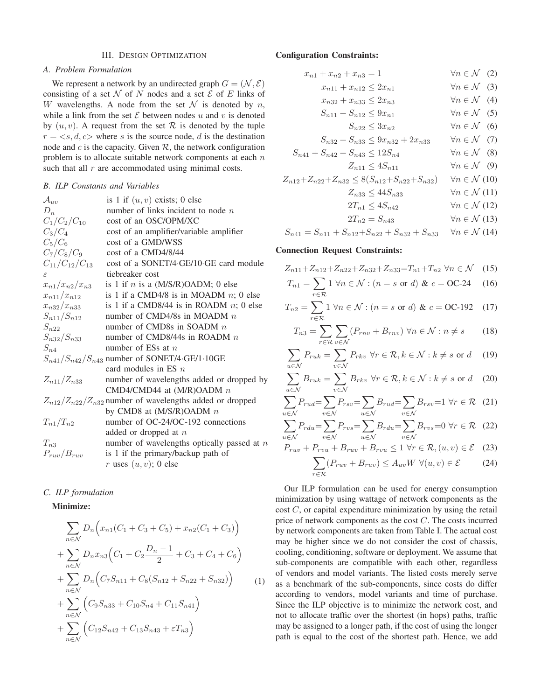# III. DESIGN OPTIMIZATION

# *A. Problem Formulation*

We represent a network by an undirected graph  $G = (\mathcal{N}, \mathcal{E})$ consisting of a set  $N$  of N nodes and a set  $\mathcal E$  of E links of W wavelengths. A node from the set  $\mathcal N$  is denoted by n, while a link from the set  $\mathcal E$  between nodes u and v is denoted by  $(u, v)$ . A request from the set  $\mathcal R$  is denoted by the tuple  $r = \langle s, d, c \rangle$  where s is the source node, d is the destination node and  $c$  is the capacity. Given  $R$ , the network configuration problem is to allocate suitable network components at each  $n$ such that all  $r$  are accommodated using minimal costs.

# *B. ILP Constants and Variables*

| $\mathcal{A}_{uv}$     | is 1 if $(u, v)$ exists; 0 else                                  |
|------------------------|------------------------------------------------------------------|
| $D_n$                  | number of links incident to node $n$                             |
| $C_1/C_2/C_{10}$       | cost of an OSC/OPM/XC                                            |
| $C_3/C_4$              | cost of an amplifier/variable amplifier                          |
| $C_5/C_6$              | cost of a GMD/WSS                                                |
| $C_7/C_8/C_9$          | cost of a CMD4/8/44                                              |
| $C_{11}/C_{12}/C_{13}$ | cost of a SONET/4.GE/10.GE card module                           |
| ε                      | tiebreaker cost                                                  |
| $x_{n1}/x_{n2}/x_{n3}$ | is 1 if $n$ is a (M/S/R)OADM; 0 else                             |
| $x_{n11}/x_{n12}$      | is 1 if a CMD4/8 is in MOADM $n$ ; 0 else                        |
| $x_{n32}/x_{n33}$      | is 1 if a CMD8/44 is in ROADM $n$ ; 0 else                       |
| $S_{n11}/S_{n12}$      | number of CMD4/8s in MOADM $n$                                   |
| $S_{n22}$              | number of CMD8s in SOADM $n$                                     |
| $S_{n32}/S_{n33}$      | number of CMD8/44s in ROADM $n$                                  |
| $S_{n4}$               | number of ESs at $n$                                             |
|                        | $S_{n41}/S_{n42}/S_{n43}$ number of SONET/4.GE/1.10GE            |
|                        | card modules in ES $n$                                           |
| $Z_{n11}/Z_{n33}$      | number of wavelengths added or dropped by                        |
|                        | CMD4/CMD44 at $(M/R)$ OADM $n$                                   |
|                        | $Z_{n12}/Z_{n22}/Z_{n32}$ number of wavelengths added or dropped |
|                        | by CMD8 at $(M/S/R)OADM n$                                       |
| $T_{n1}/T_{n2}$        | number of OC-24/OC-192 connections                               |
|                        | added or dropped at $n$                                          |
| $T_{n3}$               | number of wavelengths optically passed at $n$                    |
| $P_{ruv}/B_{ruv}$      | is 1 if the primary/backup path of                               |
|                        | r uses $(u, v)$ ; 0 else                                         |

## *C. ILP formulation*

# Minimize:

$$
\sum_{n \in \mathcal{N}} D_n \left( x_{n1}(C_1 + C_3 + C_5) + x_{n2}(C_1 + C_3) \right)
$$
  
+ 
$$
\sum_{n \in \mathcal{N}} D_n x_{n3} \left( C_1 + C_2 \frac{D_n - 1}{2} + C_3 + C_4 + C_6 \right)
$$
  
+ 
$$
\sum_{n \in \mathcal{N}} D_n \left( C_7 S_{n11} + C_8 (S_{n12} + S_{n22} + S_{n32}) \right) \qquad (1)
$$
  
+ 
$$
\sum_{n \in \mathcal{N}} \left( C_9 S_{n33} + C_{10} S_{n4} + C_{11} S_{n41} \right)
$$
  
+ 
$$
\sum_{n \in \mathcal{N}} \left( C_{12} S_{n42} + C_{13} S_{n43} + \varepsilon T_{n3} \right)
$$

### Configuration Constraints:

$$
x_{n1} + x_{n2} + x_{n3} = 1 \qquad \qquad \forall n \in \mathcal{N} \quad (2)
$$

$$
x_{n11} + x_{n12} \le 2x_{n1} \qquad \forall n \in \mathcal{N} \quad (3)
$$

$$
x_{n32} + x_{n33} \le 2x_{n3} \qquad \forall n \in \mathcal{N} \quad (4)
$$

$$
S_{n11} + S_{n12} \le 9x_{n1} \qquad \forall n \in \mathcal{N} \quad (5)
$$

$$
S_{n22} \le 3x_{n2} \qquad \forall n \in \mathcal{N} \quad (6)
$$

$$
S_{n32} + S_{n33} < 9x_{n32} + 2x_{n33} \qquad \forall n \in \mathcal{N} \quad (7)
$$

$$
S_{n41} + S_{n42} + S_{n43} \le 12S_{n4} \qquad \forall n \in \mathcal{N} \quad (8)
$$

$$
Z_{n11} \le 4S_{n11} \qquad \qquad \forall n \in \mathcal{N} \quad (9)
$$

$$
Z_{n12} + Z_{n22} + Z_{n32} \le 8(S_{n12} + S_{n22} + S_{n32}) \quad \forall n \in \mathcal{N}
$$
 (10)

$$
Z_{n33} \le 44S_{n33} \qquad \qquad \forall n \in \mathcal{N} \text{ (11)}
$$

$$
2T_{n1} \le 4S_{n42} \qquad \qquad \forall n \in \mathcal{N} \text{ (12)}
$$

$$
2T_{n2} = S_{n43} \qquad \qquad \forall n \in \mathcal{N} \text{ (13)}
$$

$$
S_{n41} = S_{n11} + S_{n12} + S_{n22} + S_{n32} + S_{n33} \quad \forall n \in \mathcal{N}
$$
 (14)

# Connection Request Constraints:

$$
Z_{n11} + Z_{n12} + Z_{n22} + Z_{n32} + Z_{n33} = T_{n1} + T_{n2} \,\,\forall n \in \mathcal{N} \quad (15)
$$

$$
T_{n1} = \sum_{r \in \mathcal{R}} 1 \,\forall n \in \mathcal{N} : (n = s \text{ or } d) \& c = \text{OC-24} \tag{16}
$$

$$
T_{n2} = \sum_{r \in \mathcal{R}} 1 \,\forall n \in \mathcal{N} : (n = s \text{ or } d) \& c = \text{OC-192} \quad (17)
$$

$$
T_{n3} = \sum_{r \in \mathcal{R}} \sum_{v \in \mathcal{N}} (P_{rnv} + B_{rnv}) \,\forall n \in \mathcal{N} : n \neq s \tag{18}
$$

$$
\sum_{u \in \mathcal{N}} P_{ruk} = \sum_{v \in \mathcal{N}} P_{rkv} \,\,\forall r \in \mathcal{R}, k \in \mathcal{N} : k \neq s \text{ or } d \quad (19)
$$

$$
\sum_{u \in \mathcal{N}} B_{ruk} = \sum_{v \in \mathcal{N}} B_{rkv} \,\,\forall r \in \mathcal{R}, k \in \mathcal{N} : k \neq s \,\,\text{or} \,\, d \quad (20)
$$

$$
\sum_{u \in \mathcal{N}} P_{rud} = \sum_{v \in \mathcal{N}} P_{rsv} = \sum_{u \in \mathcal{N}} B_{rud} = \sum_{v \in \mathcal{N}} B_{rsv} = 1 \ \forall r \in \mathcal{R} \quad (21)
$$

$$
\sum_{u \in \mathcal{N}} P_{rdu} = \sum_{v \in \mathcal{N}} P_{rvs} = \sum_{u \in \mathcal{N}} B_{rdu} = \sum_{v \in \mathcal{N}} B_{rvs} = 0 \ \forall r \in \mathcal{R} \quad (22)
$$

$$
P_{ruv} + P_{rvu} + B_{ruv} + B_{rvu} \le 1 \,\forall r \in \mathcal{R}, (u, v) \in \mathcal{E} \quad (23)
$$

$$
\sum_{r \in \mathcal{R}} (P_{ruv} + B_{ruv}) \le A_{uv} W \ \forall (u, v) \in \mathcal{E}
$$
 (24)

Our ILP formulation can be used for energy consumption minimization by using wattage of network components as the cost C, or capital expenditure minimization by using the retail price of network components as the cost  $C$ . The costs incurred by network components are taken from Table I. The actual cost may be higher since we do not consider the cost of chassis, cooling, conditioning, software or deployment. We assume that sub-components are compatible with each other, regardless of vendors and model variants. The listed costs merely serve as a benchmark of the sub-components, since costs do differ according to vendors, model variants and time of purchase. Since the ILP objective is to minimize the network cost, and not to allocate traffic over the shortest (in hops) paths, traffic may be assigned to a longer path, if the cost of using the longer path is equal to the cost of the shortest path. Hence, we add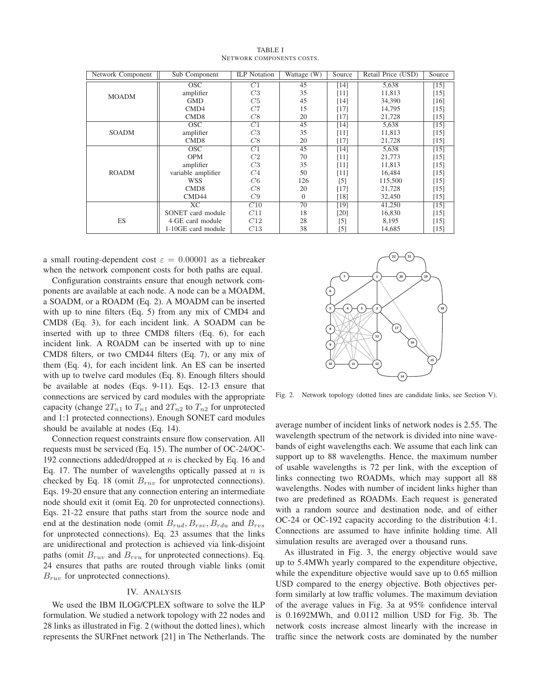| Network Component | Sub Component             | <b>ILP</b> Notation | Wattage (W)  | Source   | Retail Price (USD) | Source |
|-------------------|---------------------------|---------------------|--------------|----------|--------------------|--------|
| <b>MOADM</b>      | <b>OSC</b>                | C1                  | 45           | [14]     | 5,638              | $[15]$ |
|                   | amplifier                 | C3                  | 35           | [11]     | 11,813             | $[15]$ |
|                   | <b>GMD</b>                | C5                  | 45           | [14]     | 34,390             | $[16]$ |
|                   | CMD4                      | C7                  | 15           | $[17]$   | 14,795             | $[15]$ |
|                   | CMD <sub>8</sub>          | C8                  | 20           | [17]     | 21,728             | $[15]$ |
| <b>SOADM</b>      | <b>OSC</b>                | $\overline{C1}$     | 45           | [14]     | 5,638              | $[15]$ |
|                   | amplifier                 | C <sub>3</sub>      | 35           | [11]     | 11,813             | $[15]$ |
|                   | CMD <sub>8</sub>          | C8                  | 20           | [17]     | 21,728             | $[15]$ |
| <b>ROADM</b>      | $\overline{\mathrm{OSC}}$ | C1                  | 45           | [14]     | 5,638              | $[15]$ |
|                   | <b>OPM</b>                | C2                  | 70           | $[11]$   | 21,773             | $[15]$ |
|                   | amplifier                 | C3                  | 35           | [11]     | 11,813             | $[15]$ |
|                   | variable amplifier        | C <sub>4</sub>      | 50           | [11]     | 16,484             | $[15]$ |
|                   | <b>WSS</b>                | C6                  | 126          | $[5]$    | 115,500            | $[15]$ |
|                   | CMD <sub>8</sub>          | C8                  | 20           | $[17]$   | 21,728             | $[15]$ |
|                   | CMD44                     | C9                  | $\mathbf{0}$ | [18]     | 32,450             | $[15]$ |
|                   | $\overline{XC}$           | $\overline{C10}$    | 70           | [19]     | 41,250             | $[15]$ |
| ES                | SONET card module         | C11                 | 18           | [20]     | 16,830             | $[15]$ |
|                   | 4.GE card module          | C12                 | 28           | $^{[5]}$ | 8,195              | $[15]$ |
|                   | $1.10GE$ card module      | C13                 | 38           | $^{[5]}$ | 14,685             | $[15]$ |

TABLE I NETWORK COMPONENTS COSTS.

a small routing-dependent cost  $\varepsilon = 0.00001$  as a tiebreaker when the network component costs for both paths are equal.

Configuration constraints ensure that enough network components are available at each node. A node can be a MOADM, a SOADM, or a ROADM (Eq. 2). A MOADM can be inserted with up to nine filters (Eq. 5) from any mix of CMD4 and CMD8 (Eq. 3), for each incident link. A SOADM can be inserted with up to three CMD8 filters (Eq. 6), for each incident link. A ROADM can be inserted with up to nine CMD8 filters, or two CMD44 filters (Eq. 7), or any mix of them (Eq. 4), for each incident link. An ES can be inserted with up to twelve card modules (Eq. 8). Enough filters should be available at nodes (Eqs. 9-11). Eqs. 12-13 ensure that connections are serviced by card modules with the appropriate capacity (change  $2T_{n1}$  to  $T_{n1}$  and  $2T_{n2}$  to  $T_{n2}$  for unprotected and 1:1 protected connections). Enough SONET card modules should be available at nodes (Eq. 14).

Connection request constraints ensure flow conservation. All requests must be serviced (Eq. 15). The number of OC-24/OC-192 connections added/dropped at  $n$  is checked by Eq. 16 and Eq. 17. The number of wavelengths optically passed at  $n$  is checked by Eq. 18 (omit  $B_{rnv}$  for unprotected connections). Eqs. 19-20 ensure that any connection entering an intermediate node should exit it (omit Eq. 20 for unprotected connections). Eqs. 21-22 ensure that paths start from the source node and end at the destination node (omit  $B_{rud}, B_{rsv}, B_{rdu}$  and  $B_{rvs}$ for unprotected connections). Eq. 23 assumes that the links are unidirectional and protection is achieved via link-disjoint paths (omit  $B_{ruv}$  and  $B_{rvu}$  for unprotected connections). Eq. 24 ensures that paths are routed through viable links (omit  $B_{ruv}$  for unprotected connections).

## IV. ANALYSIS

We used the IBM ILOG/CPLEX software to solve the ILP formulation. We studied a network topology with 22 nodes and 28 links as illustrated in Fig. 2 (without the dotted lines), which represents the SURFnet network [21] in The Netherlands. The



Fig. 2. Network topology (dotted lines are candidate links, see Section V).

average number of incident links of network nodes is 2.55. The wavelength spectrum of the network is divided into nine wavebands of eight wavelengths each. We assume that each link can support up to 88 wavelengths. Hence, the maximum number of usable wavelengths is 72 per link, with the exception of links connecting two ROADMs, which may support all 88 wavelengths. Nodes with number of incident links higher than two are predefined as ROADMs. Each request is generated with a random source and destination node, and of either OC-24 or OC-192 capacity according to the distribution 4:1. Connections are assumed to have infinite holding time. All simulation results are averaged over a thousand runs.

As illustrated in Fig. 3, the energy objective would save up to 5.4MWh yearly compared to the expenditure objective, while the expenditure objective would save up to 0.65 million USD compared to the energy objective. Both objectives perform similarly at low traffic volumes. The maximum deviation of the average values in Fig. 3a at 95% confidence interval is 0.1692MWh, and 0.0112 million USD for Fig. 3b. The network costs increase almost linearly with the increase in traffic since the network costs are dominated by the number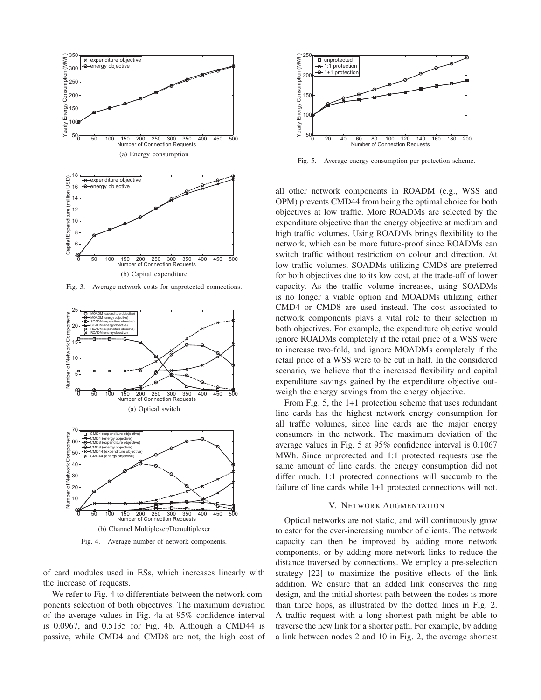

Fig. 3. Average network costs for unprotected connections.



Fig. 4. Average number of network components.

of card modules used in ESs, which increases linearly with the increase of requests.

We refer to Fig. 4 to differentiate between the network components selection of both objectives. The maximum deviation of the average values in Fig. 4a at 95% confidence interval is 0.0967, and 0.5135 for Fig. 4b. Although a CMD44 is passive, while CMD4 and CMD8 are not, the high cost of



Fig. 5. Average energy consumption per protection scheme.

all other network components in ROADM (e.g., WSS and OPM) prevents CMD44 from being the optimal choice for both objectives at low traffic. More ROADMs are selected by the expenditure objective than the energy objective at medium and high traffic volumes. Using ROADMs brings flexibility to the network, which can be more future-proof since ROADMs can switch traffic without restriction on colour and direction. At low traffic volumes, SOADMs utilizing CMD8 are preferred for both objectives due to its low cost, at the trade-off of lower capacity. As the traffic volume increases, using SOADMs is no longer a viable option and MOADMs utilizing either CMD4 or CMD8 are used instead. The cost associated to network components plays a vital role to their selection in both objectives. For example, the expenditure objective would ignore ROADMs completely if the retail price of a WSS were to increase two-fold, and ignore MOADMs completely if the retail price of a WSS were to be cut in half. In the considered scenario, we believe that the increased flexibility and capital expenditure savings gained by the expenditure objective outweigh the energy savings from the energy objective.

From Fig. 5, the 1+1 protection scheme that uses redundant line cards has the highest network energy consumption for all traffic volumes, since line cards are the major energy consumers in the network. The maximum deviation of the average values in Fig. 5 at 95% confidence interval is 0.1067 MWh. Since unprotected and 1:1 protected requests use the same amount of line cards, the energy consumption did not differ much. 1:1 protected connections will succumb to the failure of line cards while 1+1 protected connections will not.

# V. NETWORK AUGMENTATION

Optical networks are not static, and will continuously grow to cater for the ever-increasing number of clients. The network capacity can then be improved by adding more network components, or by adding more network links to reduce the distance traversed by connections. We employ a pre-selection strategy [22] to maximize the positive effects of the link addition. We ensure that an added link conserves the ring design, and the initial shortest path between the nodes is more than three hops, as illustrated by the dotted lines in Fig. 2. A traffic request with a long shortest path might be able to traverse the new link for a shorter path. For example, by adding a link between nodes 2 and 10 in Fig. 2, the average shortest